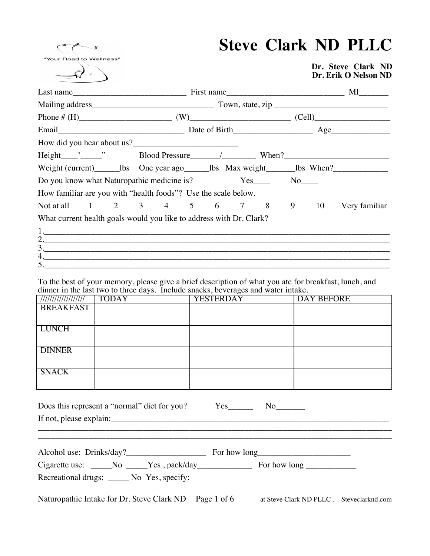"Your Road to Wellness"

# **Steve Clark ND PLLC**

**Dr. Steve Clark ND Dr. Erik O Nelson ND**

|                                                                                                                |  |  | Phone # $(H)$ (W) (W) (Cell) |  |               |
|----------------------------------------------------------------------------------------------------------------|--|--|------------------------------|--|---------------|
|                                                                                                                |  |  |                              |  |               |
|                                                                                                                |  |  |                              |  |               |
|                                                                                                                |  |  |                              |  |               |
| Weight (current) _________ lbs One year ago_________________bs Max weight_________bs When?____________________ |  |  |                              |  |               |
| Do you know what Naturopathic medicine is?                                                                     |  |  | $Yes$ No $No$                |  |               |
| How familiar are you with "health foods"? Use the scale below.                                                 |  |  |                              |  |               |
| Not at all 1 2 3 4 5 6 7 8 9 10                                                                                |  |  |                              |  | Very familiar |
| What current health goals would you like to address with Dr. Clark?                                            |  |  |                              |  |               |
|                                                                                                                |  |  |                              |  |               |
| 2.                                                                                                             |  |  |                              |  |               |
| 3.<br>4.                                                                                                       |  |  |                              |  |               |
| $\begin{array}{c}\n5.\n\end{array}$                                                                            |  |  |                              |  |               |

To the best of your memory, please give a brief description of what you ate for breakfast, lunch, and dinner in the last two to three days. Include snacks, beverages and water intake.

| ////////////////// | <b>TODAY</b> | <b>YESTERDAY</b> | <b>DAY BEFORE</b> |
|--------------------|--------------|------------------|-------------------|
| <b>BREAKFAST</b>   |              |                  |                   |
|                    |              |                  |                   |
| <b>LUNCH</b>       |              |                  |                   |
|                    |              |                  |                   |
| <b>DINNER</b>      |              |                  |                   |
|                    |              |                  |                   |
| <b>SNACK</b>       |              |                  |                   |
|                    |              |                  |                   |

| Does this represent a "normal" diet for you? | Yes |  |
|----------------------------------------------|-----|--|
| If not, please explain:                      |     |  |

\_\_\_\_\_\_\_\_\_\_\_\_\_\_\_\_\_\_\_\_\_\_\_\_\_\_\_\_\_\_\_\_\_\_\_\_\_\_\_\_\_\_\_\_\_\_\_\_\_\_\_\_\_\_\_\_\_\_\_\_\_\_\_\_\_\_\_\_\_\_\_\_\_\_\_\_\_\_\_\_\_\_\_\_

| Alcohol use: Drinks/day? |               | For how long |  |
|--------------------------|---------------|--------------|--|
| Cigarette use:           | Yes, pack/day | For how long |  |

Recreational drugs: \_\_\_\_\_ No Yes, specify:

Naturopathic Intake for Dr. Steve Clark ND Page 1 of 6 at Steve Clark ND PLLC . Steveclarknd.com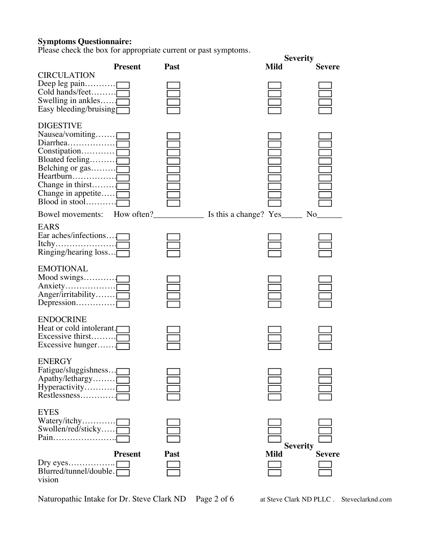### **Symptoms Questionnaire:**

Please check the box for appropriate current or past symptoms.

| I is vase check the box for appropriate current or past symptoms.                                                                                                                                                              |                |      |                                |               |
|--------------------------------------------------------------------------------------------------------------------------------------------------------------------------------------------------------------------------------|----------------|------|--------------------------------|---------------|
|                                                                                                                                                                                                                                | <b>Present</b> | Past | <b>Severity</b><br><b>Mild</b> | <b>Severe</b> |
| <b>CIRCULATION</b><br>Deep $leg$ pain<br>Cold hands/feet<br>Swelling in ankles $\overline{\Gamma}$<br>Easy bleeding/bruising                                                                                                   |                |      |                                |               |
| <b>DIGESTIVE</b><br>Nausea/vomiting<br>Diarrhea<br>Belching or gas<br>Heartburn<br>Change in thirst $\Gamma$<br>Change in appetite $\Gamma$<br>Blood in stool                                                                  |                |      |                                |               |
| Bowel movements: How often? Solution Lines are change? Yes less Lines and Solution Lines are the Muslim Lines and Muslim Lines are the Muslim Lines and Muslim Lines are the Muslim Lines and Muslim Lines are the Muslim Line |                |      |                                | No            |
| <b>EARS</b><br>Ear aches/infections $\Gamma$<br>Ringing/hearing $loss$                                                                                                                                                         |                |      |                                |               |
| <b>EMOTIONAL</b><br>Mood swings $\Box$<br>Anger/irritability                                                                                                                                                                   |                |      |                                |               |
| <b>ENDOCRINE</b><br>Heat or cold intolerant.<br>Excessive thirst<br>Excessive hunger $\Gamma$                                                                                                                                  |                |      |                                |               |
| <b>ENERGY</b><br>Fatigue/sluggishness<br>Apathy/lethargy $\overline{\Gamma}$<br>Restlessness                                                                                                                                   |                |      |                                |               |
| <b>EYES</b><br>Swollen/red/sticky $\bar{\Gamma}$<br>Pain                                                                                                                                                                       |                |      | <b>Severity</b>                |               |
| Blurred/tunnel/double.<br>vision                                                                                                                                                                                               | <b>Present</b> | Past | <b>Mild</b>                    | <b>Severe</b> |

Naturopathic Intake for Dr. Steve Clark ND Page 2 of 6 at Steve Clark ND PLLC . Steveclarknd.com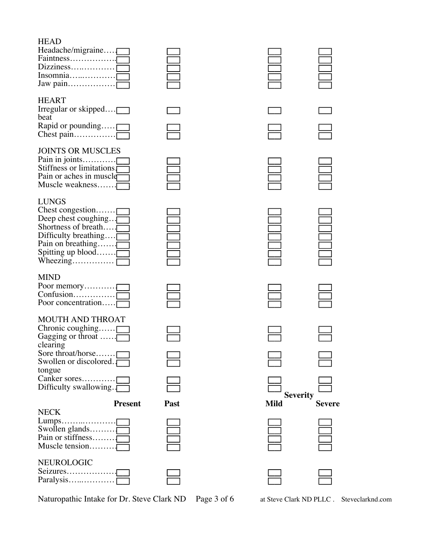## **HEAD**

| Headache/migraine                                                                                                                                                                                         |      |             |                                  |
|-----------------------------------------------------------------------------------------------------------------------------------------------------------------------------------------------------------|------|-------------|----------------------------------|
| <b>HEART</b><br>Irregular or skipped<br>beat<br>Rapid or pounding                                                                                                                                         |      |             |                                  |
| <b>JOINTS OR MUSCLES</b><br>Pain in joints<br>Stiffness or limitations <sub>[</sub><br>Pain or aches in muscle<br>Muscle weakness                                                                         |      |             |                                  |
| <b>LUNGS</b><br>Chest congestion<br>Deep chest coughing<br>Shortness of breath<br>Difficulty breathing<br>Pain on breathing<br>Spitting up blood $\Gamma$                                                 |      |             | $\Box$                           |
| <b>MIND</b><br>Poor concentration                                                                                                                                                                         |      |             |                                  |
| <b>MOUTH AND THROAT</b><br>Chronic coughing $\Gamma$<br>Gagging or throat $\dots$<br>clearing<br>Sore throat/horse<br>Swollen or discolored.<br>tongue<br>Canker sores<br>Difficulty swallowing. $\Gamma$ |      |             |                                  |
| <b>Present</b>                                                                                                                                                                                            | Past | <b>Mild</b> | <b>Severity</b><br><b>Severe</b> |
| <b>NECK</b><br>Lumps<br>Swollen glands<br>Muscle tension                                                                                                                                                  |      |             |                                  |
| NEUROLOGIC                                                                                                                                                                                                |      |             |                                  |

Naturopathic Intake for Dr. Steve Clark ND Page 3 of 6 at Steve Clark ND PLLC . Steveclarknd.com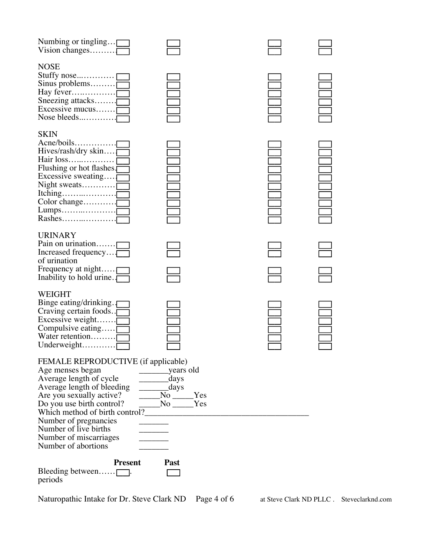| Numbing or tingling $\Box$<br>Vision changes                                                                                                                                                                                                                                 |                                                                                 |  |
|------------------------------------------------------------------------------------------------------------------------------------------------------------------------------------------------------------------------------------------------------------------------------|---------------------------------------------------------------------------------|--|
| <b>NOSE</b><br>Sinus problems $\Box$<br>Hay fever<br>Sneezing attacks<br>Excessive mucus $\Box$<br>Nose bleeds                                                                                                                                                               |                                                                                 |  |
| <b>SKIN</b><br>Acne/boils<br>Hives/rash/dry skin $\Box$<br>Flushing or hot flashes.<br>Excessive sweating $\Box$<br>Night sweats<br>Color change                                                                                                                             |                                                                                 |  |
| <b>URINARY</b><br>Pain on urination<br>Increased frequency<br>of urination<br>Frequency at night $\Box$<br>Inability to hold urine.                                                                                                                                          |                                                                                 |  |
| WEIGHT<br>Binge eating/drinking.<br>Craving certain foods.<br>Excessive weight $\Box$<br>Compulsive eating $\Box$<br>Water retention<br>Underweight $\Box$                                                                                                                   |                                                                                 |  |
| FEMALE REPRODUCTIVE (if applicable)<br>Age menses began<br>Average length of cycle<br>Average length of bleeding<br>Are you sexually active?<br>Do you use birth control?<br>Number of pregnancies<br>Number of live births<br>Number of miscarriages<br>Number of abortions | days<br>days<br>$N_0$ $Yes$<br>$\rule{1em}{0.15mm}$ No $\rule{1em}{0.15mm}$ Yes |  |
| <b>Present</b><br>Bleeding between $\Box$ .<br>periods                                                                                                                                                                                                                       | Past                                                                            |  |

Naturopathic Intake for Dr. Steve Clark ND Page 4 of 6 at Steve Clark ND PLLC . Steveclarknd.com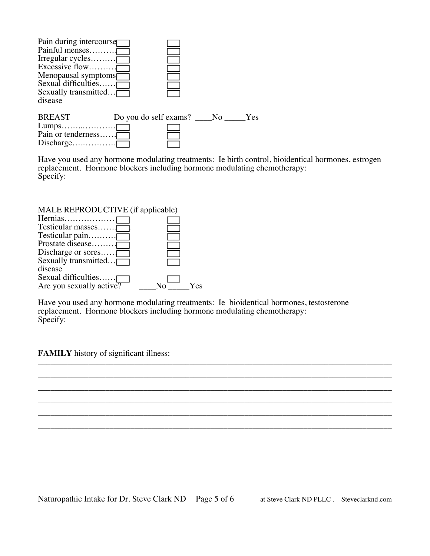| Pain during intercourse<br>Painful menses<br>Irregular cycles $\Box$<br>Excessive flow<br>Menopausal symptoms<br>Sexual difficulties $\overline{\Gamma}$<br>Sexually transmitted $\Box$<br>disease |                          |  |     |
|----------------------------------------------------------------------------------------------------------------------------------------------------------------------------------------------------|--------------------------|--|-----|
| <b>BREAST</b><br>Pain or tenderness                                                                                                                                                                | Do you do self exams? No |  | Yes |

Have you used any hormone modulating treatments: Ie birth control, bioidentical hormones, estrogen replacement. Hormone blockers including hormone modulating chemotherapy: Specify:

| MALE REPRODUCTIVE (if applicable) |           |
|-----------------------------------|-----------|
| Hernias                           |           |
| Testicular masses                 |           |
| Testicular pain                   |           |
| Prostate disease                  |           |
| Discharge or sores                |           |
| Sexually transmitted $\Box$       |           |
| disease                           |           |
| Sexual difficulties               |           |
| Are you sexually active?          | Yes<br>N٥ |

Have you used any hormone modulating treatments: Ie bioidentical hormones, testosterone replacement. Hormone blockers including hormone modulating chemotherapy: Specify:

**FAMILY** history of significant illness:

\_\_\_\_\_\_\_\_\_\_\_\_\_\_\_\_\_\_\_\_\_\_\_\_\_\_\_\_\_\_\_\_\_\_\_\_\_\_\_\_\_\_\_\_\_\_\_\_\_\_\_\_\_\_\_\_\_\_\_\_\_\_\_\_\_\_\_\_\_\_\_\_\_\_\_\_\_\_\_\_\_\_\_\_ \_\_\_\_\_\_\_\_\_\_\_\_\_\_\_\_\_\_\_\_\_\_\_\_\_\_\_\_\_\_\_\_\_\_\_\_\_\_\_\_\_\_\_\_\_\_\_\_\_\_\_\_\_\_\_\_\_\_\_\_\_\_\_\_\_\_\_\_\_\_\_\_\_\_\_\_\_\_\_\_\_\_\_\_ \_\_\_\_\_\_\_\_\_\_\_\_\_\_\_\_\_\_\_\_\_\_\_\_\_\_\_\_\_\_\_\_\_\_\_\_\_\_\_\_\_\_\_\_\_\_\_\_\_\_\_\_\_\_\_\_\_\_\_\_\_\_\_\_\_\_\_\_\_\_\_\_\_\_\_\_\_\_\_\_\_\_\_\_ \_\_\_\_\_\_\_\_\_\_\_\_\_\_\_\_\_\_\_\_\_\_\_\_\_\_\_\_\_\_\_\_\_\_\_\_\_\_\_\_\_\_\_\_\_\_\_\_\_\_\_\_\_\_\_\_\_\_\_\_\_\_\_\_\_\_\_\_\_\_\_\_\_\_\_\_\_\_\_\_\_\_\_\_ \_\_\_\_\_\_\_\_\_\_\_\_\_\_\_\_\_\_\_\_\_\_\_\_\_\_\_\_\_\_\_\_\_\_\_\_\_\_\_\_\_\_\_\_\_\_\_\_\_\_\_\_\_\_\_\_\_\_\_\_\_\_\_\_\_\_\_\_\_\_\_\_\_\_\_\_\_\_\_\_\_\_\_\_ \_\_\_\_\_\_\_\_\_\_\_\_\_\_\_\_\_\_\_\_\_\_\_\_\_\_\_\_\_\_\_\_\_\_\_\_\_\_\_\_\_\_\_\_\_\_\_\_\_\_\_\_\_\_\_\_\_\_\_\_\_\_\_\_\_\_\_\_\_\_\_\_\_\_\_\_\_\_\_\_\_\_\_\_